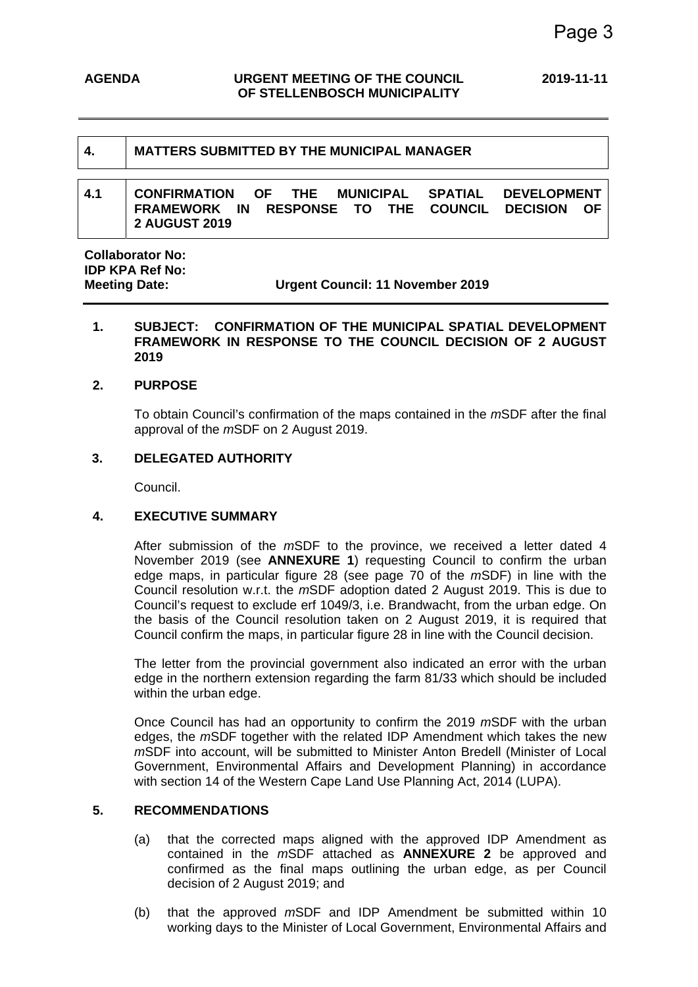# **4. MATTERS SUBMITTED BY THE MUNICIPAL MANAGER**

### **4.1 CONFIRMATION OF THE MUNICIPAL SPATIAL DEVELOPMENT FRAMEWORK IN RESPONSE TO THE COUNCIL DECISION OF 2 AUGUST 2019**

**Collaborator No: IDP KPA Ref No:** 

**Meeting Date: Urgent Council: 11 November 2019**

### **1. SUBJECT: CONFIRMATION OF THE MUNICIPAL SPATIAL DEVELOPMENT FRAMEWORK IN RESPONSE TO THE COUNCIL DECISION OF 2 AUGUST 2019**

#### **2. PURPOSE**

To obtain Council's confirmation of the maps contained in the *m*SDF after the final approval of the *m*SDF on 2 August 2019.

### **3. DELEGATED AUTHORITY**

Council.

### **4. EXECUTIVE SUMMARY**

After submission of the *m*SDF to the province, we received a letter dated 4 November 2019 (see **ANNEXURE 1**) requesting Council to confirm the urban edge maps, in particular figure 28 (see page 70 of the *m*SDF) in line with the Council resolution w.r.t. the *m*SDF adoption dated 2 August 2019. This is due to Council's request to exclude erf 1049/3, i.e. Brandwacht, from the urban edge. On the basis of the Council resolution taken on 2 August 2019, it is required that Council confirm the maps, in particular figure 28 in line with the Council decision.

The letter from the provincial government also indicated an error with the urban edge in the northern extension regarding the farm 81/33 which should be included within the urban edge.

Once Council has had an opportunity to confirm the 2019 *m*SDF with the urban edges, the *m*SDF together with the related IDP Amendment which takes the new *m*SDF into account, will be submitted to Minister Anton Bredell (Minister of Local Government, Environmental Affairs and Development Planning) in accordance with section 14 of the Western Cape Land Use Planning Act, 2014 (LUPA).

### **5. RECOMMENDATIONS**

- (a) that the corrected maps aligned with the approved IDP Amendment as contained in the *m*SDF attached as **ANNEXURE 2** be approved and confirmed as the final maps outlining the urban edge, as per Council decision of 2 August 2019; and
- (b) that the approved *m*SDF and IDP Amendment be submitted within 10 working days to the Minister of Local Government, Environmental Affairs and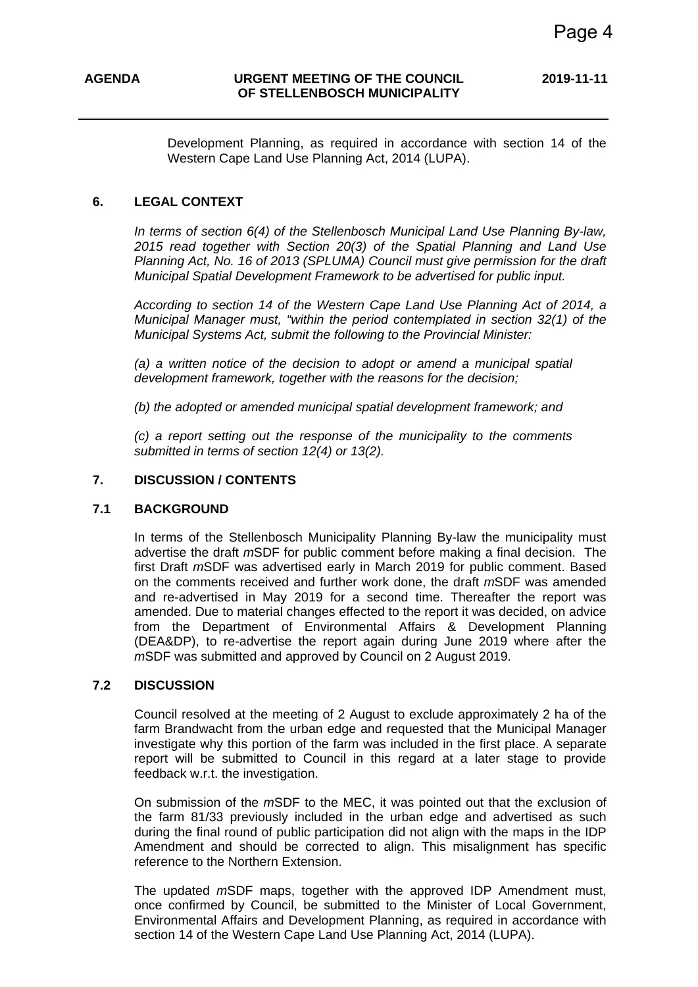Development Planning, as required in accordance with section 14 of the Western Cape Land Use Planning Act, 2014 (LUPA).

#### **6. LEGAL CONTEXT**

*In terms of section 6(4) of the Stellenbosch Municipal Land Use Planning By-law, 2015 read together with Section 20(3) of the Spatial Planning and Land Use Planning Act, No. 16 of 2013 (SPLUMA) Council must give permission for the draft Municipal Spatial Development Framework to be advertised for public input.* 

*According to section 14 of the Western Cape Land Use Planning Act of 2014, a Municipal Manager must, "within the period contemplated in section 32(1) of the Municipal Systems Act, submit the following to the Provincial Minister:* 

*(a) a written notice of the decision to adopt or amend a municipal spatial development framework, together with the reasons for the decision;* 

*(b) the adopted or amended municipal spatial development framework; and* 

*(c) a report setting out the response of the municipality to the comments submitted in terms of section 12(4) or 13(2).* 

### **7. DISCUSSION / CONTENTS**

#### **7.1 BACKGROUND**

In terms of the Stellenbosch Municipality Planning By-law the municipality must advertise the draft *m*SDF for public comment before making a final decision. The first Draft *m*SDF was advertised early in March 2019 for public comment. Based on the comments received and further work done, the draft *m*SDF was amended and re-advertised in May 2019 for a second time. Thereafter the report was amended. Due to material changes effected to the report it was decided, on advice from the Department of Environmental Affairs & Development Planning (DEA&DP), to re-advertise the report again during June 2019 where after the *m*SDF was submitted and approved by Council on 2 August 2019.

#### **7.2 DISCUSSION**

Council resolved at the meeting of 2 August to exclude approximately 2 ha of the farm Brandwacht from the urban edge and requested that the Municipal Manager investigate why this portion of the farm was included in the first place. A separate report will be submitted to Council in this regard at a later stage to provide feedback w.r.t. the investigation.

On submission of the *m*SDF to the MEC, it was pointed out that the exclusion of the farm 81/33 previously included in the urban edge and advertised as such during the final round of public participation did not align with the maps in the IDP Amendment and should be corrected to align. This misalignment has specific reference to the Northern Extension.

The updated *m*SDF maps, together with the approved IDP Amendment must, once confirmed by Council, be submitted to the Minister of Local Government, Environmental Affairs and Development Planning, as required in accordance with section 14 of the Western Cape Land Use Planning Act, 2014 (LUPA).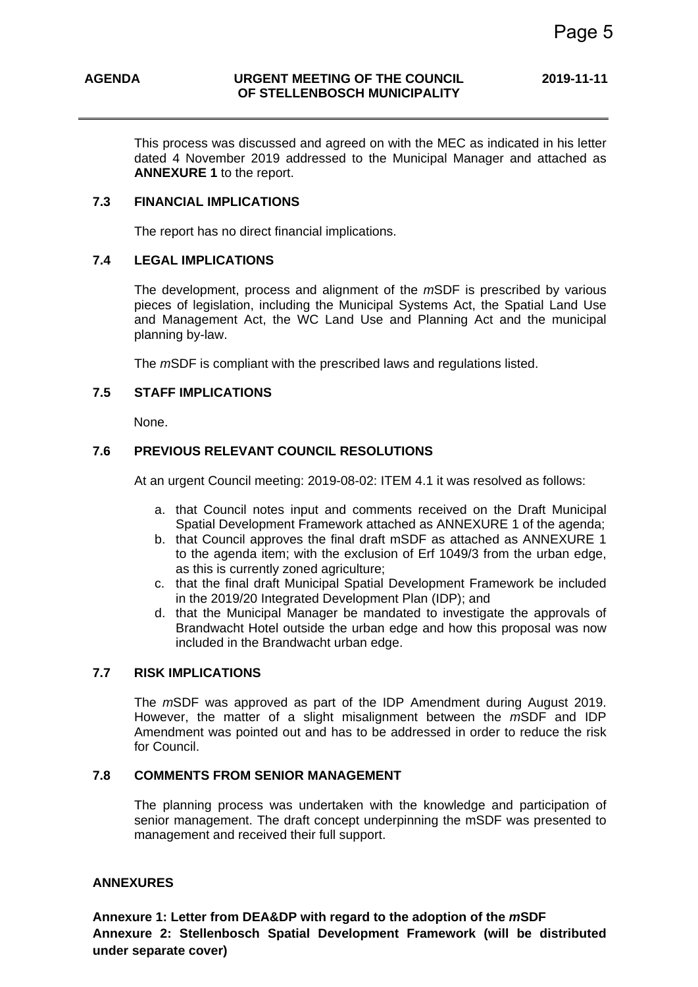This process was discussed and agreed on with the MEC as indicated in his letter dated 4 November 2019 addressed to the Municipal Manager and attached as **ANNEXURE 1** to the report.

#### **7.3 FINANCIAL IMPLICATIONS**

The report has no direct financial implications.

### **7.4 LEGAL IMPLICATIONS**

The development, process and alignment of the *m*SDF is prescribed by various pieces of legislation, including the Municipal Systems Act, the Spatial Land Use and Management Act, the WC Land Use and Planning Act and the municipal planning by-law.

The *m*SDF is compliant with the prescribed laws and regulations listed.

#### **7.5 STAFF IMPLICATIONS**

None.

### **7.6 PREVIOUS RELEVANT COUNCIL RESOLUTIONS**

At an urgent Council meeting: 2019-08-02: ITEM 4.1 it was resolved as follows:

- a. that Council notes input and comments received on the Draft Municipal Spatial Development Framework attached as ANNEXURE 1 of the agenda;
- b. that Council approves the final draft mSDF as attached as ANNEXURE 1 to the agenda item; with the exclusion of Erf 1049/3 from the urban edge, as this is currently zoned agriculture;
- c. that the final draft Municipal Spatial Development Framework be included in the 2019/20 Integrated Development Plan (IDP); and
- d. that the Municipal Manager be mandated to investigate the approvals of Brandwacht Hotel outside the urban edge and how this proposal was now included in the Brandwacht urban edge.

#### **7.7 RISK IMPLICATIONS**

The *m*SDF was approved as part of the IDP Amendment during August 2019. However, the matter of a slight misalignment between the *m*SDF and IDP Amendment was pointed out and has to be addressed in order to reduce the risk for Council.

#### **7.8 COMMENTS FROM SENIOR MANAGEMENT**

The planning process was undertaken with the knowledge and participation of senior management. The draft concept underpinning the mSDF was presented to management and received their full support.

#### **ANNEXURES**

**Annexure 1: Letter from DEA&DP with regard to the adoption of the** *m***SDF Annexure 2: Stellenbosch Spatial Development Framework (will be distributed under separate cover)**